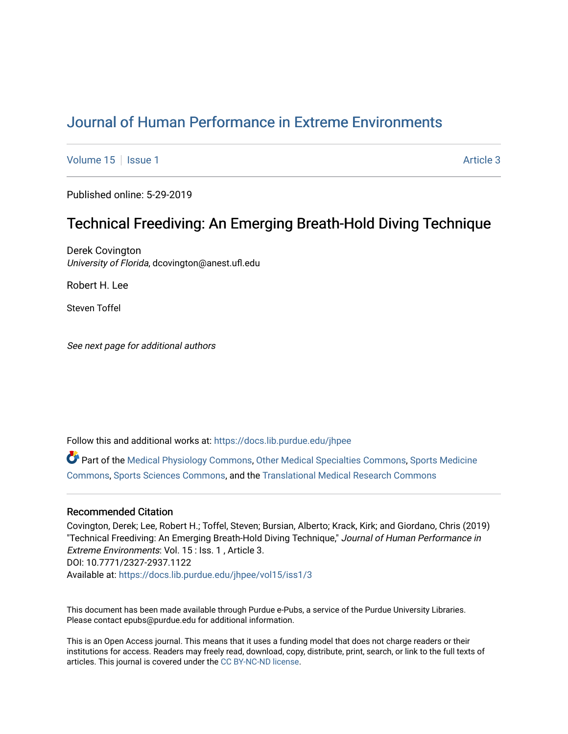# [Journal of Human Performance in Extreme Environments](https://docs.lib.purdue.edu/jhpee)

[Volume 15](https://docs.lib.purdue.edu/jhpee/vol15) | [Issue 1](https://docs.lib.purdue.edu/jhpee/vol15/iss1) Article 3

Published online: 5-29-2019

## Technical Freediving: An Emerging Breath-Hold Diving Technique

Derek Covington University of Florida, dcovington@anest.ufl.edu

Robert H. Lee

Steven Toffel

See next page for additional authors

Follow this and additional works at: [https://docs.lib.purdue.edu/jhpee](https://docs.lib.purdue.edu/jhpee?utm_source=docs.lib.purdue.edu%2Fjhpee%2Fvol15%2Fiss1%2F3&utm_medium=PDF&utm_campaign=PDFCoverPages) 

Part of the [Medical Physiology Commons,](http://network.bepress.com/hgg/discipline/677?utm_source=docs.lib.purdue.edu%2Fjhpee%2Fvol15%2Fiss1%2F3&utm_medium=PDF&utm_campaign=PDFCoverPages) [Other Medical Specialties Commons,](http://network.bepress.com/hgg/discipline/708?utm_source=docs.lib.purdue.edu%2Fjhpee%2Fvol15%2Fiss1%2F3&utm_medium=PDF&utm_campaign=PDFCoverPages) [Sports Medicine](http://network.bepress.com/hgg/discipline/1331?utm_source=docs.lib.purdue.edu%2Fjhpee%2Fvol15%2Fiss1%2F3&utm_medium=PDF&utm_campaign=PDFCoverPages)  [Commons](http://network.bepress.com/hgg/discipline/1331?utm_source=docs.lib.purdue.edu%2Fjhpee%2Fvol15%2Fiss1%2F3&utm_medium=PDF&utm_campaign=PDFCoverPages), [Sports Sciences Commons](http://network.bepress.com/hgg/discipline/759?utm_source=docs.lib.purdue.edu%2Fjhpee%2Fvol15%2Fiss1%2F3&utm_medium=PDF&utm_campaign=PDFCoverPages), and the [Translational Medical Research Commons](http://network.bepress.com/hgg/discipline/1124?utm_source=docs.lib.purdue.edu%2Fjhpee%2Fvol15%2Fiss1%2F3&utm_medium=PDF&utm_campaign=PDFCoverPages) 

### Recommended Citation

Covington, Derek; Lee, Robert H.; Toffel, Steven; Bursian, Alberto; Krack, Kirk; and Giordano, Chris (2019) "Technical Freediving: An Emerging Breath-Hold Diving Technique," Journal of Human Performance in Extreme Environments: Vol. 15 : Iss. 1 , Article 3. DOI: 10.7771/2327-2937.1122 Available at: [https://docs.lib.purdue.edu/jhpee/vol15/iss1/3](https://docs.lib.purdue.edu/jhpee/vol15/iss1/3?utm_source=docs.lib.purdue.edu%2Fjhpee%2Fvol15%2Fiss1%2F3&utm_medium=PDF&utm_campaign=PDFCoverPages) 

This document has been made available through Purdue e-Pubs, a service of the Purdue University Libraries. Please contact epubs@purdue.edu for additional information.

This is an Open Access journal. This means that it uses a funding model that does not charge readers or their institutions for access. Readers may freely read, download, copy, distribute, print, search, or link to the full texts of articles. This journal is covered under the [CC BY-NC-ND license](https://creativecommons.org/licenses/by-nc-nd/4.0/).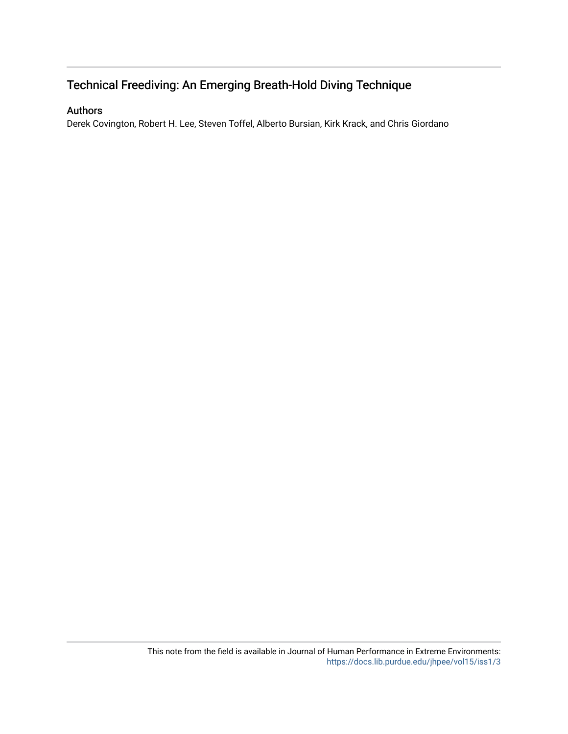## Technical Freediving: An Emerging Breath-Hold Diving Technique

### Authors

Derek Covington, Robert H. Lee, Steven Toffel, Alberto Bursian, Kirk Krack, and Chris Giordano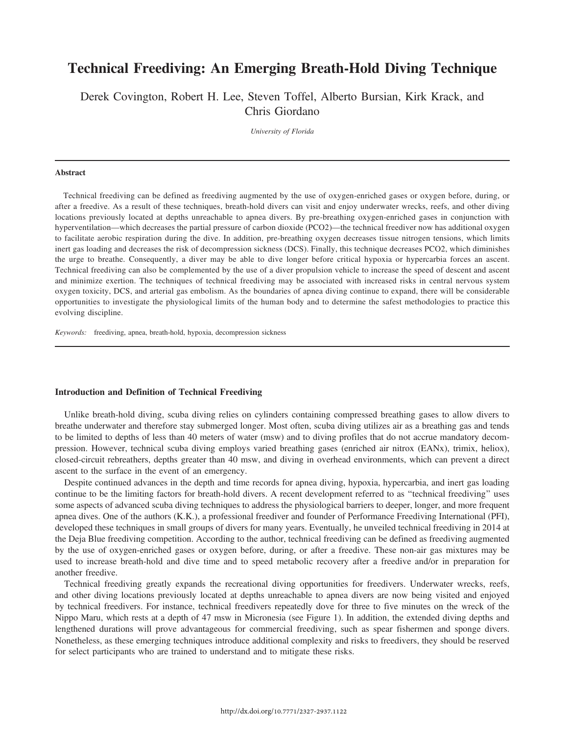### Technical Freediving: An Emerging Breath-Hold Diving Technique

Derek Covington, Robert H. Lee, Steven Toffel, Alberto Bursian, Kirk Krack, and Chris Giordano

University of Florida

#### Abstract

Technical freediving can be defined as freediving augmented by the use of oxygen-enriched gases or oxygen before, during, or after a freedive. As a result of these techniques, breath-hold divers can visit and enjoy underwater wrecks, reefs, and other diving locations previously located at depths unreachable to apnea divers. By pre-breathing oxygen-enriched gases in conjunction with hyperventilation—which decreases the partial pressure of carbon dioxide (PCO2)—the technical freediver now has additional oxygen to facilitate aerobic respiration during the dive. In addition, pre-breathing oxygen decreases tissue nitrogen tensions, which limits inert gas loading and decreases the risk of decompression sickness (DCS). Finally, this technique decreases PCO2, which diminishes the urge to breathe. Consequently, a diver may be able to dive longer before critical hypoxia or hypercarbia forces an ascent. Technical freediving can also be complemented by the use of a diver propulsion vehicle to increase the speed of descent and ascent and minimize exertion. The techniques of technical freediving may be associated with increased risks in central nervous system oxygen toxicity, DCS, and arterial gas embolism. As the boundaries of apnea diving continue to expand, there will be considerable opportunities to investigate the physiological limits of the human body and to determine the safest methodologies to practice this evolving discipline.

Keywords: freediving, apnea, breath-hold, hypoxia, decompression sickness

#### Introduction and Definition of Technical Freediving

Unlike breath-hold diving, scuba diving relies on cylinders containing compressed breathing gases to allow divers to breathe underwater and therefore stay submerged longer. Most often, scuba diving utilizes air as a breathing gas and tends to be limited to depths of less than 40 meters of water (msw) and to diving profiles that do not accrue mandatory decompression. However, technical scuba diving employs varied breathing gases (enriched air nitrox (EANx), trimix, heliox), closed-circuit rebreathers, depths greater than 40 msw, and diving in overhead environments, which can prevent a direct ascent to the surface in the event of an emergency.

Despite continued advances in the depth and time records for apnea diving, hypoxia, hypercarbia, and inert gas loading continue to be the limiting factors for breath-hold divers. A recent development referred to as ''technical freediving'' uses some aspects of advanced scuba diving techniques to address the physiological barriers to deeper, longer, and more frequent apnea dives. One of the authors (K.K.), a professional freediver and founder of Performance Freediving International (PFI), developed these techniques in small groups of divers for many years. Eventually, he unveiled technical freediving in 2014 at the Deja Blue freediving competition. According to the author, technical freediving can be defined as freediving augmented by the use of oxygen-enriched gases or oxygen before, during, or after a freedive. These non-air gas mixtures may be used to increase breath-hold and dive time and to speed metabolic recovery after a freedive and/or in preparation for another freedive.

Technical freediving greatly expands the recreational diving opportunities for freedivers. Underwater wrecks, reefs, and other diving locations previously located at depths unreachable to apnea divers are now being visited and enjoyed by technical freedivers. For instance, technical freedivers repeatedly dove for three to five minutes on the wreck of the Nippo Maru, which rests at a depth of 47 msw in Micronesia (see Figure 1). In addition, the extended diving depths and lengthened durations will prove advantageous for commercial freediving, such as spear fishermen and sponge divers. Nonetheless, as these emerging techniques introduce additional complexity and risks to freedivers, they should be reserved for select participants who are trained to understand and to mitigate these risks.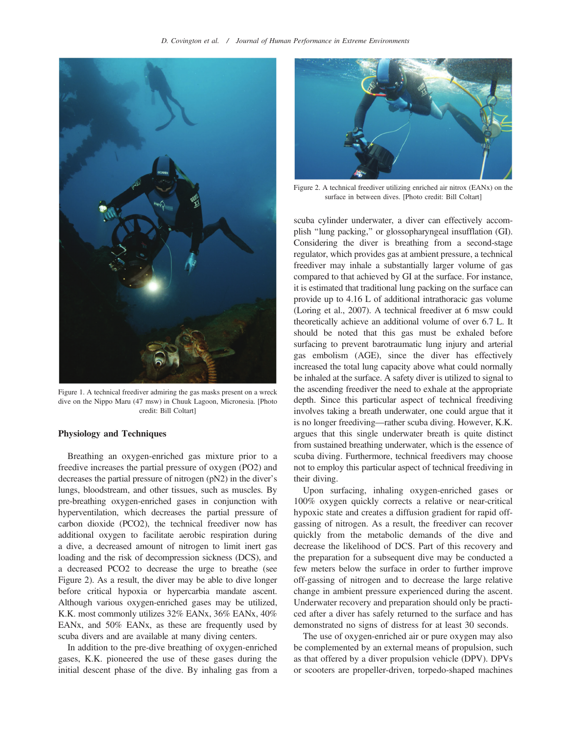

Figure 1. A technical freediver admiring the gas masks present on a wreck dive on the Nippo Maru (47 msw) in Chuuk Lagoon, Micronesia. [Photo credit: Bill Coltart]

#### Physiology and Techniques

Breathing an oxygen-enriched gas mixture prior to a freedive increases the partial pressure of oxygen (PO2) and decreases the partial pressure of nitrogen (pN2) in the diver's lungs, bloodstream, and other tissues, such as muscles. By pre-breathing oxygen-enriched gases in conjunction with hyperventilation, which decreases the partial pressure of carbon dioxide (PCO2), the technical freediver now has additional oxygen to facilitate aerobic respiration during a dive, a decreased amount of nitrogen to limit inert gas loading and the risk of decompression sickness (DCS), and a decreased PCO2 to decrease the urge to breathe (see Figure 2). As a result, the diver may be able to dive longer before critical hypoxia or hypercarbia mandate ascent. Although various oxygen-enriched gases may be utilized, K.K. most commonly utilizes 32% EANx, 36% EANx, 40% EANx, and 50% EANx, as these are frequently used by scuba divers and are available at many diving centers.

In addition to the pre-dive breathing of oxygen-enriched gases, K.K. pioneered the use of these gases during the initial descent phase of the dive. By inhaling gas from a



Figure 2. A technical freediver utilizing enriched air nitrox (EANx) on the surface in between dives. [Photo credit: Bill Coltart]

scuba cylinder underwater, a diver can effectively accomplish ''lung packing,'' or glossopharyngeal insufflation (GI). Considering the diver is breathing from a second-stage regulator, which provides gas at ambient pressure, a technical freediver may inhale a substantially larger volume of gas compared to that achieved by GI at the surface. For instance, it is estimated that traditional lung packing on the surface can provide up to 4.16 L of additional intrathoracic gas volume (Loring et al., 2007). A technical freediver at 6 msw could theoretically achieve an additional volume of over 6.7 L. It should be noted that this gas must be exhaled before surfacing to prevent barotraumatic lung injury and arterial gas embolism (AGE), since the diver has effectively increased the total lung capacity above what could normally be inhaled at the surface. A safety diver is utilized to signal to the ascending freediver the need to exhale at the appropriate depth. Since this particular aspect of technical freediving involves taking a breath underwater, one could argue that it is no longer freediving—rather scuba diving. However, K.K. argues that this single underwater breath is quite distinct from sustained breathing underwater, which is the essence of scuba diving. Furthermore, technical freedivers may choose not to employ this particular aspect of technical freediving in their diving.

Upon surfacing, inhaling oxygen-enriched gases or 100% oxygen quickly corrects a relative or near-critical hypoxic state and creates a diffusion gradient for rapid offgassing of nitrogen. As a result, the freediver can recover quickly from the metabolic demands of the dive and decrease the likelihood of DCS. Part of this recovery and the preparation for a subsequent dive may be conducted a few meters below the surface in order to further improve off-gassing of nitrogen and to decrease the large relative change in ambient pressure experienced during the ascent. Underwater recovery and preparation should only be practiced after a diver has safely returned to the surface and has demonstrated no signs of distress for at least 30 seconds.

The use of oxygen-enriched air or pure oxygen may also be complemented by an external means of propulsion, such as that offered by a diver propulsion vehicle (DPV). DPVs or scooters are propeller-driven, torpedo-shaped machines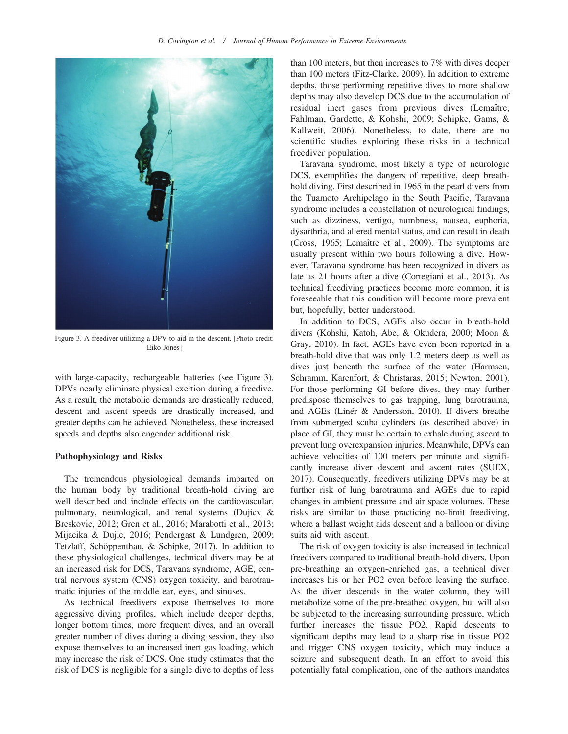

Figure 3. A freediver utilizing a DPV to aid in the descent. [Photo credit: Eiko Jones]

with large-capacity, rechargeable batteries (see Figure 3). DPVs nearly eliminate physical exertion during a freedive. As a result, the metabolic demands are drastically reduced, descent and ascent speeds are drastically increased, and greater depths can be achieved. Nonetheless, these increased speeds and depths also engender additional risk.

#### Pathophysiology and Risks

The tremendous physiological demands imparted on the human body by traditional breath-hold diving are well described and include effects on the cardiovascular, pulmonary, neurological, and renal systems (Dujicv & Breskovic, 2012; Gren et al., 2016; Marabotti et al., 2013; Mijacika & Dujic, 2016; Pendergast & Lundgren, 2009; Tetzlaff, Schöppenthau, & Schipke, 2017). In addition to these physiological challenges, technical divers may be at an increased risk for DCS, Taravana syndrome, AGE, central nervous system (CNS) oxygen toxicity, and barotraumatic injuries of the middle ear, eyes, and sinuses.

As technical freedivers expose themselves to more aggressive diving profiles, which include deeper depths, longer bottom times, more frequent dives, and an overall greater number of dives during a diving session, they also expose themselves to an increased inert gas loading, which may increase the risk of DCS. One study estimates that the risk of DCS is negligible for a single dive to depths of less than 100 meters, but then increases to 7% with dives deeper than 100 meters (Fitz-Clarke, 2009). In addition to extreme depths, those performing repetitive dives to more shallow depths may also develop DCS due to the accumulation of residual inert gases from previous dives (Lemaître, Fahlman, Gardette, & Kohshi, 2009; Schipke, Gams, & Kallweit, 2006). Nonetheless, to date, there are no scientific studies exploring these risks in a technical freediver population.

Taravana syndrome, most likely a type of neurologic DCS, exemplifies the dangers of repetitive, deep breathhold diving. First described in 1965 in the pearl divers from the Tuamoto Archipelago in the South Pacific, Taravana syndrome includes a constellation of neurological findings, such as dizziness, vertigo, numbness, nausea, euphoria, dysarthria, and altered mental status, and can result in death (Cross, 1965; Lemaître et al., 2009). The symptoms are usually present within two hours following a dive. However, Taravana syndrome has been recognized in divers as late as 21 hours after a dive (Cortegiani et al., 2013). As technical freediving practices become more common, it is foreseeable that this condition will become more prevalent but, hopefully, better understood.

In addition to DCS, AGEs also occur in breath-hold divers (Kohshi, Katoh, Abe, & Okudera, 2000; Moon & Gray, 2010). In fact, AGEs have even been reported in a breath-hold dive that was only 1.2 meters deep as well as dives just beneath the surface of the water (Harmsen, Schramm, Karenfort, & Christaras, 2015; Newton, 2001). For those performing GI before dives, they may further predispose themselves to gas trapping, lung barotrauma, and AGEs (Linér & Andersson, 2010). If divers breathe from submerged scuba cylinders (as described above) in place of GI, they must be certain to exhale during ascent to prevent lung overexpansion injuries. Meanwhile, DPVs can achieve velocities of 100 meters per minute and significantly increase diver descent and ascent rates (SUEX, 2017). Consequently, freedivers utilizing DPVs may be at further risk of lung barotrauma and AGEs due to rapid changes in ambient pressure and air space volumes. These risks are similar to those practicing no-limit freediving, where a ballast weight aids descent and a balloon or diving suits aid with ascent.

The risk of oxygen toxicity is also increased in technical freedivers compared to traditional breath-hold divers. Upon pre-breathing an oxygen-enriched gas, a technical diver increases his or her PO2 even before leaving the surface. As the diver descends in the water column, they will metabolize some of the pre-breathed oxygen, but will also be subjected to the increasing surrounding pressure, which further increases the tissue PO2. Rapid descents to significant depths may lead to a sharp rise in tissue PO2 and trigger CNS oxygen toxicity, which may induce a seizure and subsequent death. In an effort to avoid this potentially fatal complication, one of the authors mandates